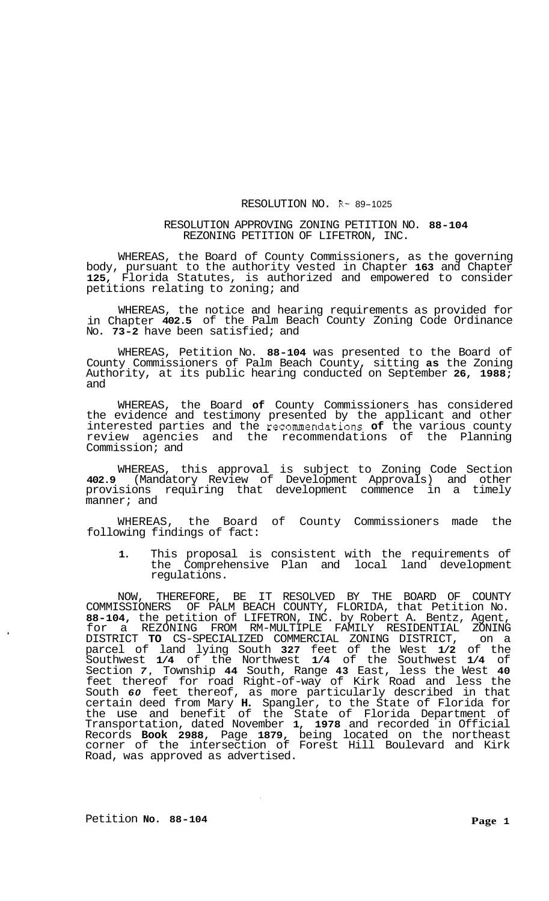## RESOLUTION NO. R- 89-1025

## RESOLUTION APPROVING ZONING PETITION NO. **88-104**  REZONING PETITION OF LIFETRON, INC.

WHEREAS, the Board of County Commissioners, as the governing body, pursuant to the authority vested in Chapter **163** and Chapter **125,** Florida Statutes, is authorized and empowered to consider petitions relating to zoning; and

WHEREAS, the notice and hearing requirements as provided for in Chapter **402.5** of the Palm Beach County Zoning Code Ordinance No. **73-2** have been satisfied; and

WHEREAS, Petition No. **88-104** was presented to the Board of County Commissioners of Palm Beach County, sitting **as** the Zoning Authority, at its public hearing conducted on September **26, 1988;**  and

WHEREAS, the Board **of** County Commissioners has considered the evidence and testimony presented by the applicant and other interested parties and the recommendations **of** the various county review agencies and the recommendations of the Planning Commission; and

WHEREAS, this approval is subject to Zoning Code Section **402.9** (Mandatory Review of Development Approvals) and other provisions requiring that development commence in a timely manner; and

WHEREAS, the Board of County Commissioners made the following findings of fact:

**1.** This proposal is consistent with the requirements of the Comprehensive Plan and local land development regulations.

NOW, THEREFORE, BE IT RESOLVED BY THE BOARD OF COUNTY COMMISSIONERS OF PALM BEACH COUNTY, FLORIDA, that Petition No. **88-104,** the petition of LIFETRON, INC. by Robert A. Bentz, Agent, for a REZONING FROM RM-MULTIPLE FAMILY RESIDENTIAL ZONING DISTRICT **TO** CS-SPECIALIZED COMMERCIAL ZONING DISTRICT, on a parcel of land lying South **327** feet of the West **1/2** of the Southwest **1/4** of the Northwest **1/4** of the Southwest **1/4** of Section *7,* Township **44** South, Range **43** East, less the West **40**  feet thereof for road Right-of-way of Kirk Road and less the South *60* feet thereof, as more particularly described in that certain deed from Mary **H.** Spangler, to the State of Florida for the use and benefit of the State of Florida Department of Transportation, dated November **1, 1978** and recorded in Official Records **Book 2988,** Page **1879,** being located on the northeast corner of the intersection of Forest Hill Boulevard and Kirk Road, was approved as advertised.